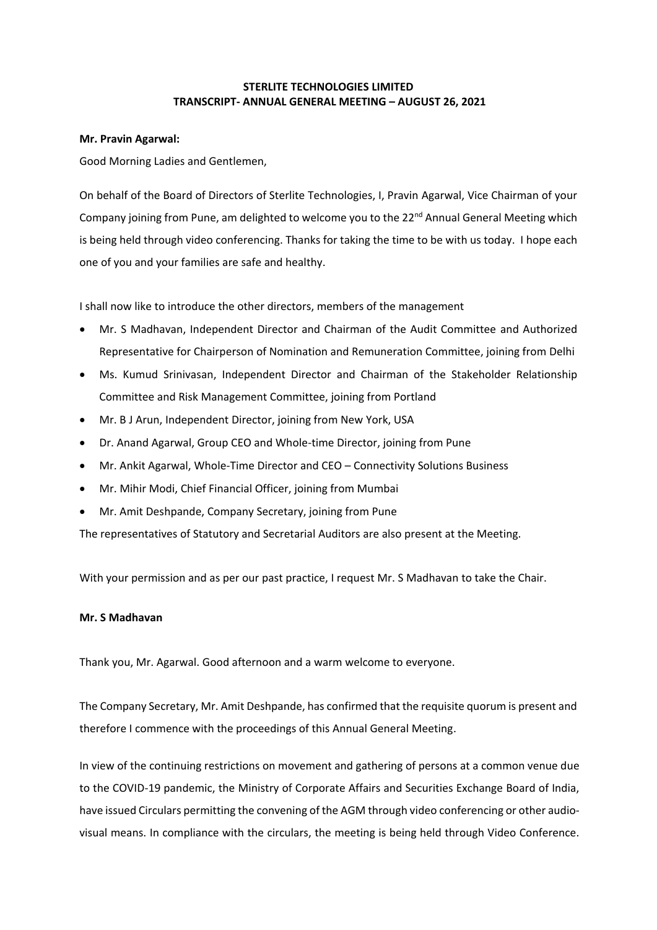# **STERLITE TECHNOLOGIES LIMITED TRANSCRIPT- ANNUAL GENERAL MEETING – AUGUST 26, 2021**

### **Mr. Pravin Agarwal:**

Good Morning Ladies and Gentlemen,

On behalf of the Board of Directors of Sterlite Technologies, I, Pravin Agarwal, Vice Chairman of your Company joining from Pune, am delighted to welcome you to the 22<sup>nd</sup> Annual General Meeting which is being held through video conferencing. Thanks for taking the time to be with us today. I hope each one of you and your families are safe and healthy.

I shall now like to introduce the other directors, members of the management

- Mr. S Madhavan, Independent Director and Chairman of the Audit Committee and Authorized Representative for Chairperson of Nomination and Remuneration Committee, joining from Delhi
- Ms. Kumud Srinivasan, Independent Director and Chairman of the Stakeholder Relationship Committee and Risk Management Committee, joining from Portland
- Mr. B J Arun, Independent Director, joining from New York, USA
- Dr. Anand Agarwal, Group CEO and Whole-time Director, joining from Pune
- Mr. Ankit Agarwal, Whole-Time Director and CEO Connectivity Solutions Business
- Mr. Mihir Modi, Chief Financial Officer, joining from Mumbai
- Mr. Amit Deshpande, Company Secretary, joining from Pune

The representatives of Statutory and Secretarial Auditors are also present at the Meeting.

With your permission and as per our past practice, I request Mr. S Madhavan to take the Chair.

## **Mr. S Madhavan**

Thank you, Mr. Agarwal. Good afternoon and a warm welcome to everyone.

The Company Secretary, Mr. Amit Deshpande, has confirmed that the requisite quorum is present and therefore I commence with the proceedings of this Annual General Meeting.

In view of the continuing restrictions on movement and gathering of persons at a common venue due to the COVID-19 pandemic, the Ministry of Corporate Affairs and Securities Exchange Board of India, have issued Circulars permitting the convening of the AGM through video conferencing or other audiovisual means. In compliance with the circulars, the meeting is being held through Video Conference.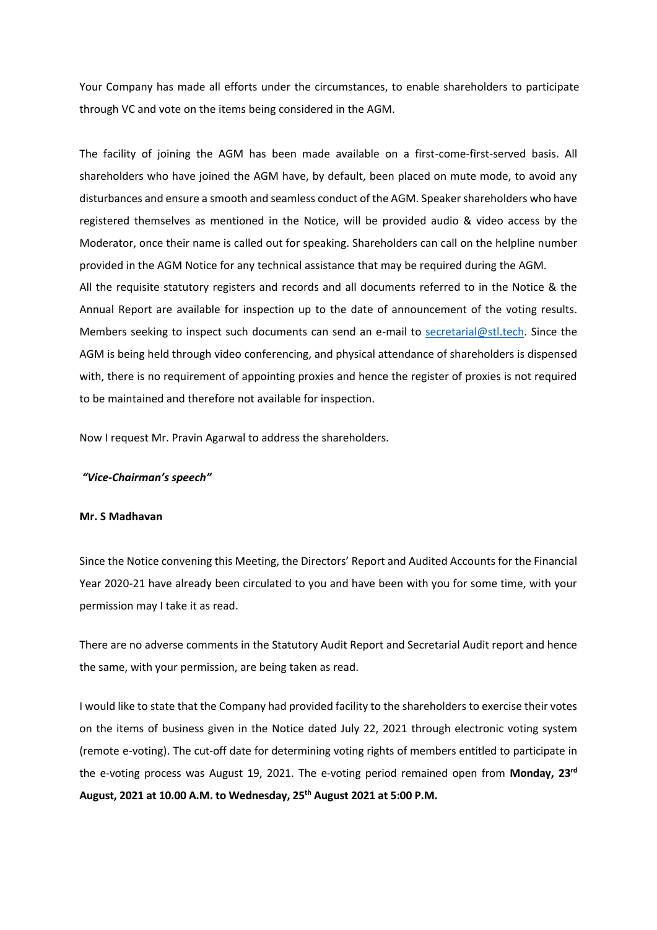Your Company has made all efforts under the circumstances, to enable shareholders to participate through VC and vote on the items being considered in the AGM.

The facility of joining the AGM has been made available on a first-come-first-served basis. All shareholders who have joined the AGM have, by default, been placed on mute mode, to avoid any disturbances and ensure a smooth and seamless conduct of the AGM. Speaker shareholders who have registered themselves as mentioned in the Notice, will be provided audio & video access by the Moderator, once their name is called out for speaking. Shareholders can call on the helpline number provided in the AGM Notice for any technical assistance that may be required during the AGM.

All the requisite statutory registers and records and all documents referred to in the Notice & the Annual Report are available for inspection up to the date of announcement of the voting results. Members seeking to inspect such documents can send an e-mail to [secretarial@stl.tech.](mailto:secretarial@stl.tech) Since the AGM is being held through video conferencing, and physical attendance of shareholders is dispensed with, there is no requirement of appointing proxies and hence the register of proxies is not required to be maintained and therefore not available for inspection.

Now I request Mr. Pravin Agarwal to address the shareholders.

### *"Vice-Chairman's speech"*

#### **Mr. S Madhavan**

Since the Notice convening this Meeting, the Directors' Report and Audited Accounts for the Financial Year 2020-21 have already been circulated to you and have been with you for some time, with your permission may I take it as read.

There are no adverse comments in the Statutory Audit Report and Secretarial Audit report and hence the same, with your permission, are being taken as read.

I would like to state that the Company had provided facility to the shareholders to exercise their votes on the items of business given in the Notice dated July 22, 2021 through electronic voting system (remote e-voting). The cut-off date for determining voting rights of members entitled to participate in the e-voting process was August 19, 2021. The e-voting period remained open from **Monday, 23rd August, 2021 at 10.00 A.M. to Wednesday, 25th August 2021 at 5:00 P.M.**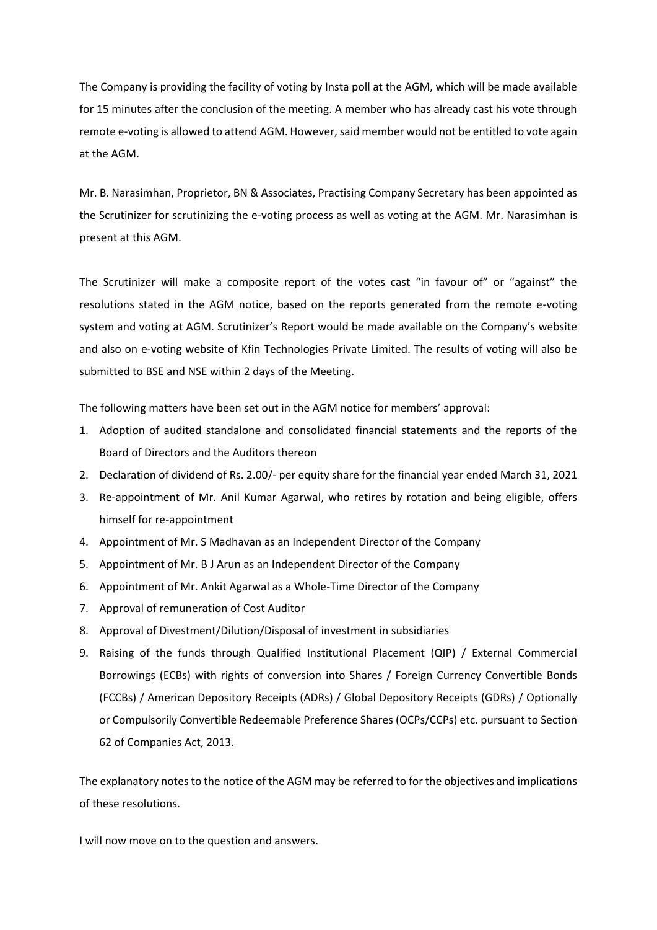The Company is providing the facility of voting by Insta poll at the AGM, which will be made available for 15 minutes after the conclusion of the meeting. A member who has already cast his vote through remote e-voting is allowed to attend AGM. However, said member would not be entitled to vote again at the AGM.

Mr. B. Narasimhan, Proprietor, BN & Associates, Practising Company Secretary has been appointed as the Scrutinizer for scrutinizing the e-voting process as well as voting at the AGM. Mr. Narasimhan is present at this AGM.

The Scrutinizer will make a composite report of the votes cast "in favour of" or "against" the resolutions stated in the AGM notice, based on the reports generated from the remote e-voting system and voting at AGM. Scrutinizer's Report would be made available on the Company's website and also on e-voting website of Kfin Technologies Private Limited. The results of voting will also be submitted to BSE and NSE within 2 days of the Meeting.

The following matters have been set out in the AGM notice for members' approval:

- 1. Adoption of audited standalone and consolidated financial statements and the reports of the Board of Directors and the Auditors thereon
- 2. Declaration of dividend of Rs. 2.00/- per equity share for the financial year ended March 31, 2021
- 3. Re-appointment of Mr. Anil Kumar Agarwal, who retires by rotation and being eligible, offers himself for re-appointment
- 4. Appointment of Mr. S Madhavan as an Independent Director of the Company
- 5. Appointment of Mr. B J Arun as an Independent Director of the Company
- 6. Appointment of Mr. Ankit Agarwal as a Whole-Time Director of the Company
- 7. Approval of remuneration of Cost Auditor
- 8. Approval of Divestment/Dilution/Disposal of investment in subsidiaries
- 9. Raising of the funds through Qualified Institutional Placement (QIP) / External Commercial Borrowings (ECBs) with rights of conversion into Shares / Foreign Currency Convertible Bonds (FCCBs) / American Depository Receipts (ADRs) / Global Depository Receipts (GDRs) / Optionally or Compulsorily Convertible Redeemable Preference Shares (OCPs/CCPs) etc. pursuant to Section 62 of Companies Act, 2013.

The explanatory notes to the notice of the AGM may be referred to for the objectives and implications of these resolutions.

I will now move on to the question and answers.